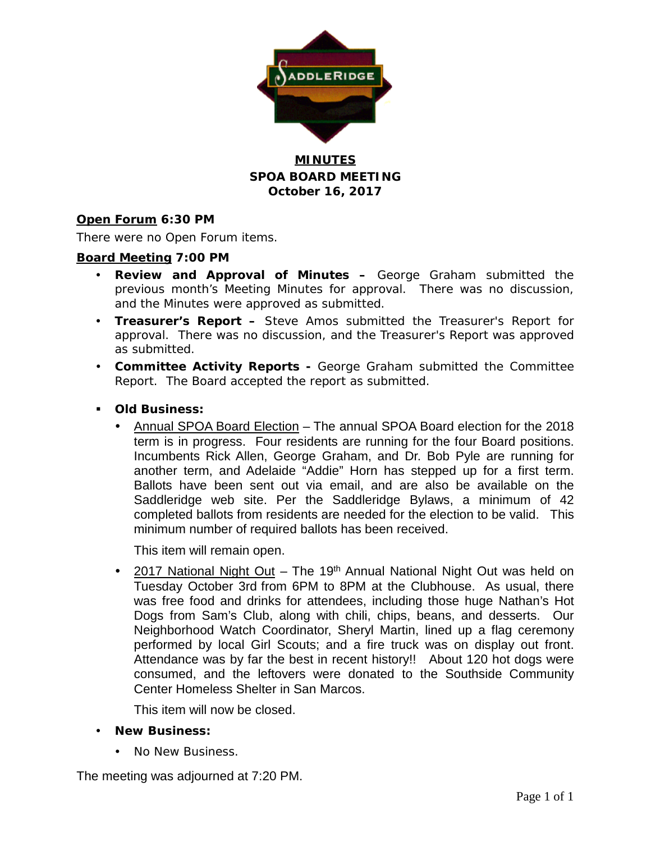

## **MINUTES SPOA BOARD MEETING October 16, 2017**

#### **Open Forum 6:30 PM**

There were no Open Forum items.

#### **Board Meeting 7:00 PM**

- **Review and Approval of Minutes –** George Graham submitted the previous month's Meeting Minutes for approval. There was no discussion, and the Minutes were approved as submitted.
- **Treasurer's Report –** Steve Amos submitted the Treasurer's Report for approval. There was no discussion, and the Treasurer's Report was approved as submitted.
- **Committee Activity Reports -** George Graham submitted the Committee Report. The Board accepted the report as submitted.
- **Old Business:**
	- Annual SPOA Board Election The annual SPOA Board election for the 2018 term is in progress. Four residents are running for the four Board positions. Incumbents Rick Allen, George Graham, and Dr. Bob Pyle are running for another term, and Adelaide "Addie" Horn has stepped up for a first term. Ballots have been sent out via email, and are also be available on the Saddleridge web site. Per the Saddleridge Bylaws, a minimum of 42 completed ballots from residents are needed for the election to be valid. This minimum number of required ballots has been received.

This item will remain open.

• 2017 National Night Out - The 19<sup>th</sup> Annual National Night Out was held on Tuesday October 3rd from 6PM to 8PM at the Clubhouse. As usual, there was free food and drinks for attendees, including those huge Nathan's Hot Dogs from Sam's Club, along with chili, chips, beans, and desserts. Our Neighborhood Watch Coordinator, Sheryl Martin, lined up a flag ceremony performed by local Girl Scouts; and a fire truck was on display out front. Attendance was by far the best in recent history!! About 120 hot dogs were consumed, and the leftovers were donated to the Southside Community Center Homeless Shelter in San Marcos.

This item will now be closed.

- **New Business:**
	- No New Business.

The meeting was adjourned at 7:20 PM.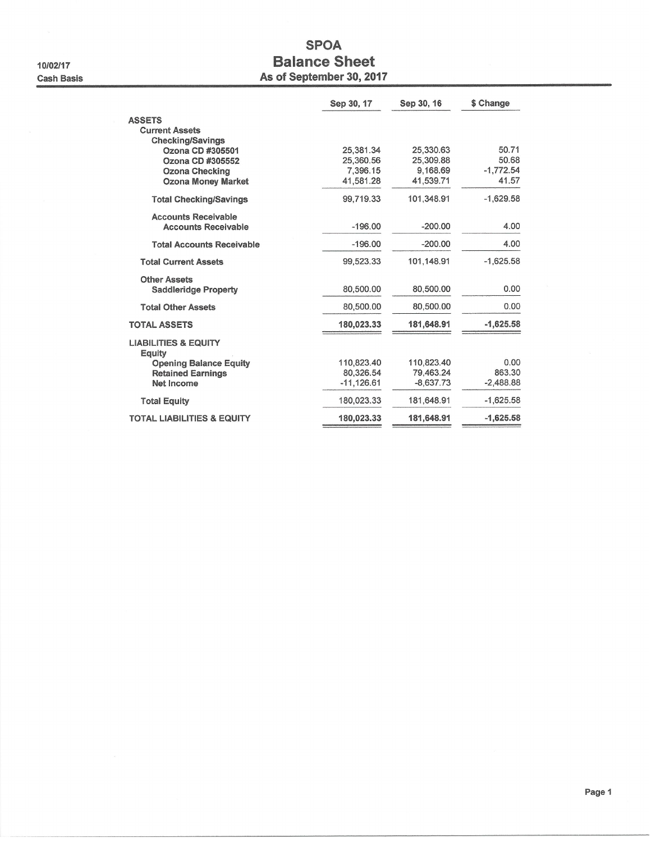10/02/17 **Cash Basis** 

# **SPOA Balance Sheet** As of September 30, 2017

|                                                                 | Sep 30, 17                | Sep 30, 16               | \$ Change            |
|-----------------------------------------------------------------|---------------------------|--------------------------|----------------------|
| <b>ASSETS</b><br><b>Current Assets</b>                          |                           |                          |                      |
| <b>Checking/Savings</b><br>Ozona CD #305501<br>Ozona CD #305552 | 25.381.34<br>25.360.56    | 25,330.63<br>25,309.88   | 50.71<br>50.68       |
| <b>Ozona Checking</b><br><b>Ozona Money Market</b>              | 7,396.15<br>41,581.28     | 9,168.69<br>41,539.71    | $-1,772.54$<br>41.57 |
| <b>Total Checking/Savings</b>                                   | 99,719.33                 | 101.348.91               | $-1,629.58$          |
| <b>Accounts Receivable</b><br><b>Accounts Receivable</b>        | $-196.00$                 | $-200.00$                | 4.00                 |
| <b>Total Accounts Receivable</b>                                | $-196.00$                 | $-200.00$                | 4.00                 |
| <b>Total Current Assets</b>                                     | 99,523.33                 | 101.148.91               | $-1.625.58$          |
| <b>Other Assets</b><br><b>Saddleridge Property</b>              | 80,500.00                 | 80,500.00                | 0.00                 |
| <b>Total Other Assets</b>                                       | 80.500.00                 | 80,500.00                | 0.00                 |
| <b>TOTAL ASSETS</b>                                             | 180,023.33                | 181,648.91               | $-1,625.58$          |
| <b>LIABILITIES &amp; EQUITY</b><br>Equity                       |                           |                          |                      |
| <b>Opening Balance Equity</b>                                   | 110.823.40                | 110.823.40               | 0.00<br>863.30       |
| <b>Retained Earnings</b><br><b>Net Income</b>                   | 80.326.54<br>$-11,126.61$ | 79,463.24<br>$-8.637.73$ | $-2.488.88$          |
| <b>Total Equity</b>                                             | 180,023.33                | 181,648.91               | $-1,625.58$          |
| <b>TOTAL LIABILITIES &amp; EQUITY</b>                           | 180,023.33                | 181,648.91               | $-1,625.58$          |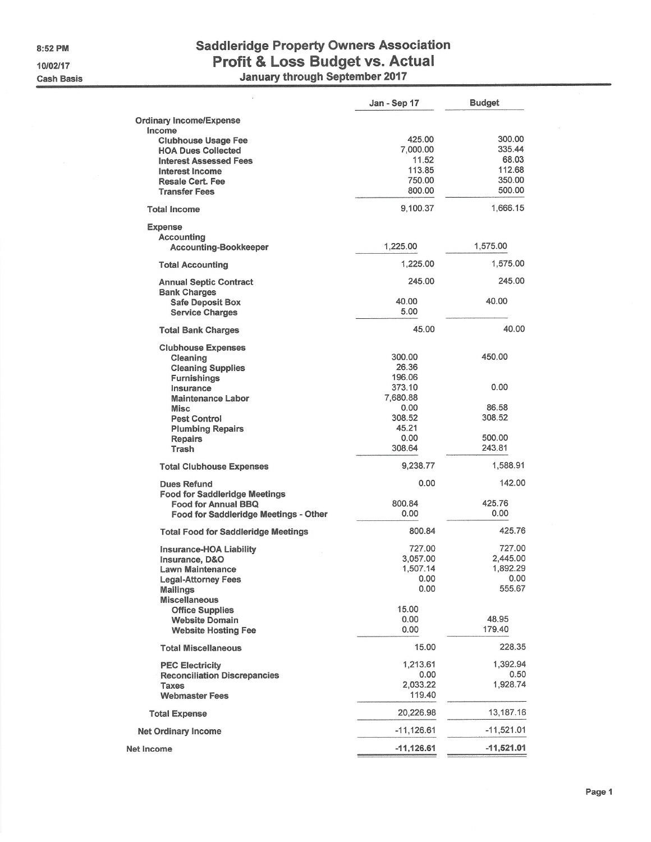8:52 PM 10/02/17 **Cash Basis** 

# **Saddleridge Property Owners Association** Profit & Loss Budget vs. Actual<br>January through September 2017

|                                                            | Jan - Sep 17    | <b>Budget</b>    |
|------------------------------------------------------------|-----------------|------------------|
| <b>Ordinary Income/Expense</b>                             |                 |                  |
| Income<br><b>Clubhouse Usage Fee</b>                       | 425.00          | 300.00           |
| <b>HOA Dues Collected</b>                                  | 7,000.00        | 335.44           |
| <b>Interest Assessed Fees</b>                              | 11.52<br>113.85 | 68.03<br>112.68  |
| Interest Income<br><b>Resale Cert. Fee</b>                 | 750.00          | 350.00           |
| <b>Transfer Fees</b>                                       | 800.00          | 500.00           |
| <b>Total Income</b>                                        | 9,100.37        | 1,666.15         |
| <b>Expense</b>                                             |                 |                  |
| <b>Accounting</b>                                          |                 |                  |
| <b>Accounting-Bookkeeper</b>                               | 1,225.00        | 1,575.00         |
| <b>Total Accounting</b>                                    | 1,225.00        | 1,575.00         |
| <b>Annual Septic Contract</b><br><b>Bank Charges</b>       | 245.00          | 245.00           |
| <b>Safe Deposit Box</b>                                    | 40.00           | 40.00            |
| <b>Service Charges</b>                                     | 5.00            |                  |
| <b>Total Bank Charges</b>                                  | 45.00           | 40.00            |
| <b>Clubhouse Expenses</b>                                  |                 |                  |
| Cleaning<br><b>Cleaning Supplies</b>                       | 300.00<br>26.36 | 450.00           |
| <b>Furnishings</b>                                         | 196.06          |                  |
| Insurance                                                  | 373.10          | 0.00             |
| <b>Maintenance Labor</b>                                   | 7,680.88        |                  |
| <b>Misc</b>                                                | 0.00            | 86.58            |
| <b>Pest Control</b>                                        | 308.52          | 308.52           |
| <b>Plumbing Repairs</b>                                    | 45.21           |                  |
| <b>Repairs</b><br>Trash                                    | 0.00<br>308.64  | 500.00<br>243.81 |
| <b>Total Clubhouse Expenses</b>                            | 9,238.77        | 1,588.91         |
|                                                            |                 |                  |
| <b>Dues Refund</b><br><b>Food for Saddleridge Meetings</b> | 0.00            | 142.00           |
| <b>Food for Annual BBQ</b>                                 | 800.84          | 425.76           |
| Food for Saddleridge Meetings - Other                      | 0.00            | 0.00             |
| <b>Total Food for Saddleridge Meetings</b>                 | 800.84          | 425.76           |
| Insurance-HOA Liability                                    | 727.00          | 727.00           |
| Insurance, D&O                                             | 3,057.00        | 2,445.00         |
| Lawn Maintenance                                           | 1,507.14        | 1,892.29         |
| <b>Legal-Attorney Fees</b>                                 | 0.00            | 0.00             |
| <b>Mailings</b>                                            | 0.00            | 555.67           |
| <b>Miscellaneous</b>                                       | 15.00           |                  |
| <b>Office Supplies</b><br><b>Website Domain</b>            | 0.00            | 48.95            |
| <b>Website Hosting Fee</b>                                 | 0.00            | 179.40           |
| <b>Total Miscellaneous</b>                                 | 15.00           | 228.35           |
| <b>PEC Electricity</b>                                     | 1,213.61        | 1,392.94         |
| <b>Reconciliation Discrepancies</b>                        | 0.00            | 0.50             |
| <b>Taxes</b>                                               | 2,033.22        | 1,928.74         |
| <b>Webmaster Fees</b>                                      | 119.40          |                  |
| <b>Total Expense</b>                                       | 20,226.98       | 13,187.16        |
| <b>Net Ordinary Income</b>                                 | $-11,126.61$    | $-11,521.01$     |
| <b>Net Income</b>                                          | $-11,126.61$    | $-11,521.01$     |